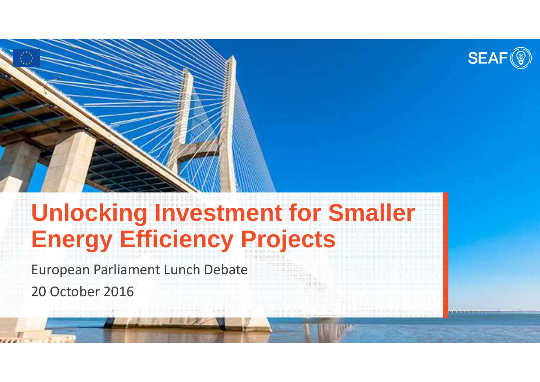

## **Unlocking Investment for Smaller Energy Efficiency Projects**

European Parliament Lunch Debate

20 October 2016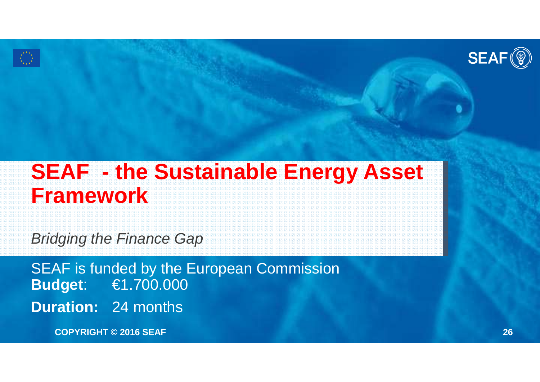

#### **SEAF - the Sustainable Energy Asset Framework**

Bridging the Finance Gap

SEAF is funded by the European Commission **Budget**: €1.700.000**Duration:** 24 months

**COPYRIGHT © 2016 SEAF**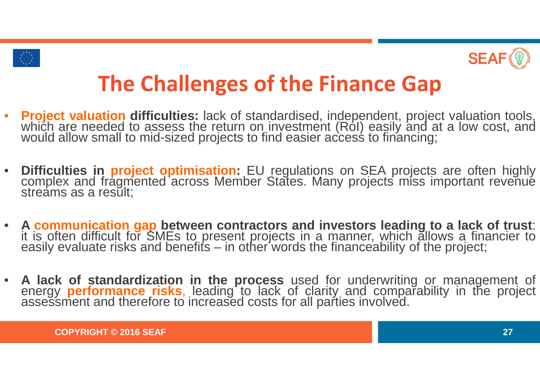



### **The Challenges of the Finance Gap**

- •**Project valuation difficulties:** lack of standardised, independent, project valuation tools, which are needed to assess the return on investment (RoI) easily and at a low cost, and which are needed to assess the return on investment (RoI) easily and at a low cost, and<br>would allow small to mid-sized projects to find easier access to financing;
- • **Difficulties in project optimisation:** EU regulations on SEA projects are often highly complex and fragmented across Member States. Many projects miss important revenuestreams as a result;
- •**A communication gap between contractors and investors leading to a lack of trust:**<br>it is often difficult for SMEs to present projects in a manner, which allows a financier to easily evaluate risks and benefits – in other words the financeability of the project;
- **<sup>A</sup> lack of standardization in the process** used for underwriting or management of energy **performance risks**, leading to lack of clarity and compar̃ability in th̃e project<br>assessment and therefore to increased costs for all parties involved.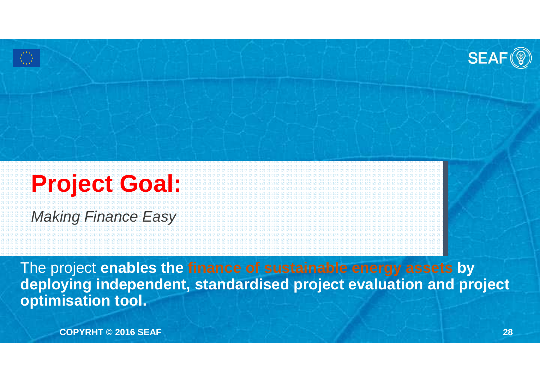

# **Project Goal:**

Making Finance Easy

The project **enables the finance of sustainable energy assets by deploying independent, standardised project evaluation and project optimisation tool.** 

**COPYRHT © 2016 SEAF**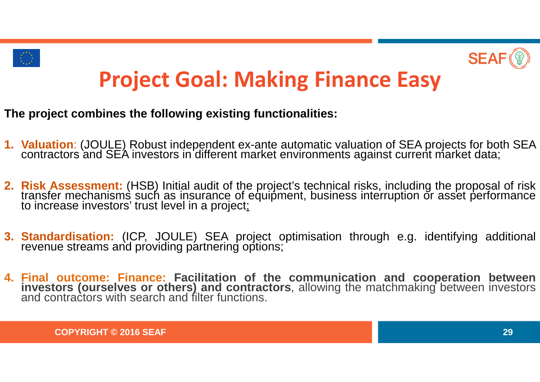



### **Project Goal: Making Finance Easy**

**The project combines the following existing functionalities:**

- **1. Valuation**: (JOULE) Robust independent ex-ante automatic valuation of SEA projects for both SEA contractors and SEA investors in different market environments against current market data;
- **2. Risk Assessment:** (HSB) Initial audit of the project's technical risks, including the proposal of risk transfer mechanisms such as insurance of equipment, business interruption or asset performanceto increase investors' trust level in a project; which is a control of the control of the control of the control of the control of the control of the control of the control of the control of the control of the control of t
- **3. Standardisation:** (ICP, JOULE) SEA project optimisation through e.g. identifying additional revenue streams and providing partnering options;
- **4. Final outcome: Finance: Facilitation of the communication and cooperation between investors (ourselves or others) and contractors**, allowing the matchmaking between investorsand contractors with search and filter functions.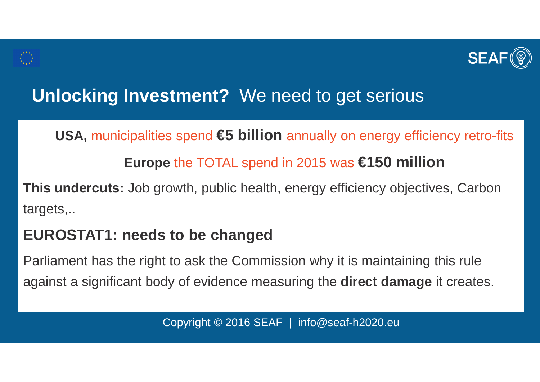

#### **Unlocking Investment?** We need to get serious

USA, municipalities spend **€5 billion** annually on energy efficiency retro-fits

**Europe** the TOTAL spend in 2015 was **€150 million** 

**This undercuts:** Job growth, public health, energy efficiency objectives, Carbon targets,..

#### **EUROSTAT1: needs to be changed**

Parliament has the right to ask the Commission why it is maintaining this rule against a significant body of evidence measuring the **direct damage** it creates.

Copyright © 2016 SEAF | info@seaf-h2020.eu